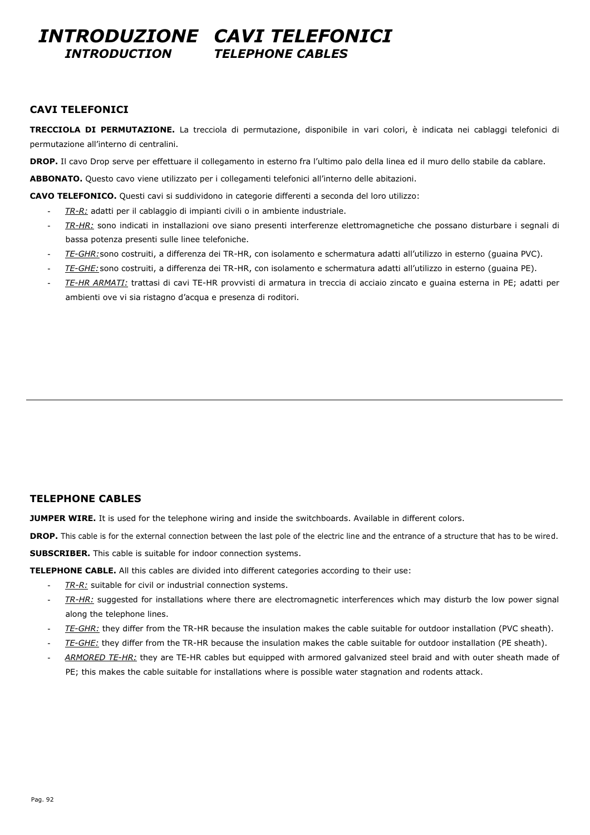### *INTRODUZIONE CAVI TELEFONICI INTRODUCTION TELEPHONE CABLES*

#### **CAVI TELEFONICI**

**TRECCIOLA DI PERMUTAZIONE.** La trecciola di permutazione, disponibile in vari colori, è indicata nei cablaggi telefonici di permutazione all'interno di centralini.

**DROP.** Il cavo Drop serve per effettuare il collegamento in esterno fra l'ultimo palo della linea ed il muro dello stabile da cablare.

ABBONATO. Questo cavo viene utilizzato per i collegamenti telefonici all'interno delle abitazioni.

**CAVO TELEFONICO.** Questi cavi si suddividono in categorie differenti a seconda del loro utilizzo:

- TR-R: adatti per il cablaggio di impianti civili o in ambiente industriale.
- *TR-HR:* sono indicati in installazioni ove siano presenti interferenze elettromagnetiche che possano disturbare i segnali di bassa potenza presenti sulle linee telefoniche.
- TE-GHR:sono costruiti, a differenza dei TR-HR, con isolamento e schermatura adatti all'utilizzo in esterno (guaina PVC).
- *TE-GHE:* sono costruiti, a differenza dei TR-HR, con isolamento e schermatura adatti all'utilizzo in esterno (guaina PE).
- *TE-HR ARMATI:* trattasi di cavi TE-HR provvisti di armatura in treccia di acciaio zincato e guaina esterna in PE; adatti per ambienti ove vi sia ristagno d'acqua e presenza di roditori.

#### **TELEPHONE CABLES**

**JUMPER WIRE.** It is used for the telephone wiring and inside the switchboards. Available in different colors.

**DROP.** This cable is for the external connection between the last pole of the electric line and the entrance of a structure that has to be wired.

**SUBSCRIBER.** This cable is suitable for indoor connection systems.

**TELEPHONE CABLE.** All this cables are divided into different categories according to their use:

- *TR-R:* suitable for civil or industrial connection systems.
- TR-HR: suggested for installations where there are electromagnetic interferences which may disturb the low power signal along the telephone lines.
- *TE-GHR:* they differ from the TR-HR because the insulation makes the cable suitable for outdoor installation (PVC sheath).
- *TE-GHE:* they differ from the TR-HR because the insulation makes the cable suitable for outdoor installation (PE sheath).
- ARMORED TE-HR: they are TE-HR cables but equipped with armored galvanized steel braid and with outer sheath made of PE; this makes the cable suitable for installations where is possible water stagnation and rodents attack.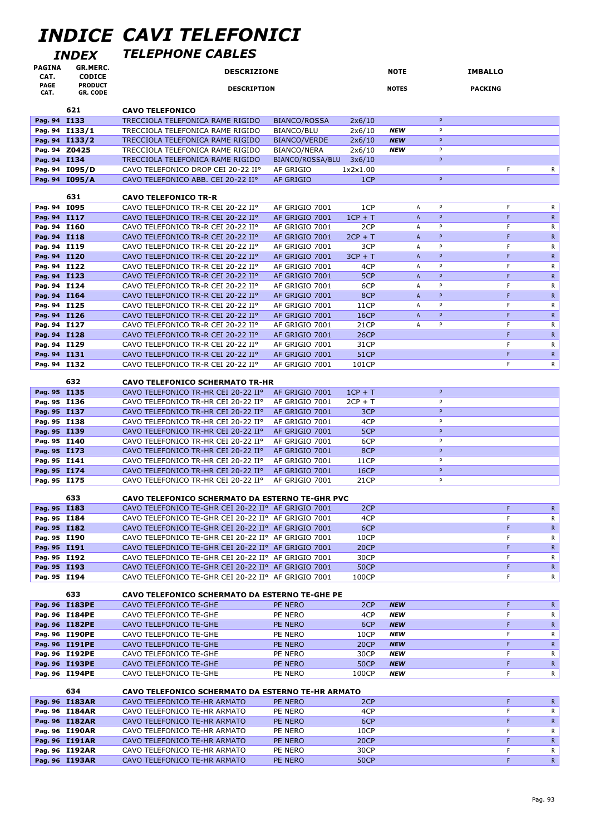# *INDICE CAVI TELEFONICI*

### *INDEX TELEPHONE CABLES*

|                              | IIVDLA                           |                                                                                                            |                                  |                     |                          |                |                                       |  |
|------------------------------|----------------------------------|------------------------------------------------------------------------------------------------------------|----------------------------------|---------------------|--------------------------|----------------|---------------------------------------|--|
| <b>PAGINA</b><br>CAT.        | GR.MERC.<br><b>CODICE</b>        | <b>DESCRIZIONE</b>                                                                                         |                                  | <b>NOTE</b>         |                          | <b>IMBALLO</b> |                                       |  |
| <b>PAGE</b>                  | <b>PRODUCT</b>                   | <b>DESCRIPTION</b>                                                                                         |                                  |                     | <b>NOTES</b>             |                | <b>PACKING</b>                        |  |
| CAT.                         | <b>GR. CODE</b>                  |                                                                                                            |                                  |                     |                          |                |                                       |  |
|                              | 621                              | <b>CAVO TELEFONICO</b>                                                                                     |                                  |                     |                          |                |                                       |  |
| Pag. 94 I133                 |                                  | TRECCIOLA TELEFONICA RAME RIGIDO                                                                           | <b>BIANCO/ROSSA</b>              | 2x6/10              |                          | P              |                                       |  |
|                              | Pag. 94 I133/1                   | TRECCIOLA TELEFONICA RAME RIGIDO                                                                           | BIANCO/BLU                       | 2x6/10              | <b>NEW</b>               | P              |                                       |  |
|                              | Pag. 94 I133/2                   | TRECCIOLA TELEFONICA RAME RIGIDO                                                                           | <b>BIANCO/VERDE</b>              | 2x6/10              | <b>NEW</b>               | P              |                                       |  |
| Pag. 94 Z0425                |                                  | TRECCIOLA TELEFONICA RAME RIGIDO                                                                           | <b>BIANCO/NERA</b>               | 2x6/10              | <b>NEW</b>               | P              |                                       |  |
| Pag. 94 I134                 |                                  | TRECCIOLA TELEFONICA RAME RIGIDO                                                                           | BIANCO/ROSSA/BLU                 | 3x6/10              |                          | P              |                                       |  |
|                              | Pag. 94 I095/D                   | CAVO TELEFONICO DROP CEI 20-22 IIº                                                                         | AF GRIGIO                        | 1x2x1.00            |                          |                | F<br>R                                |  |
|                              | Pag. 94 I095/A                   | CAVO TELEFONICO ABB. CEI 20-22 IIº                                                                         | <b>AF GRIGIO</b>                 | 1CP                 |                          | P.             |                                       |  |
|                              |                                  |                                                                                                            |                                  |                     |                          |                |                                       |  |
|                              | 631                              | <b>CAVO TELEFONICO TR-R</b>                                                                                |                                  |                     |                          |                |                                       |  |
| Pag. 94 I095                 |                                  | CAVO TELEFONICO TR-R CEI 20-22 IIº                                                                         | AF GRIGIO 7001                   | 1CP                 | Α                        | P              | F<br>R                                |  |
| Pag. 94 I117<br>Pag. 94 I160 |                                  | CAVO TELEFONICO TR-R CEI 20-22 IIº<br>CAVO TELEFONICO TR-R CEI 20-22 IIº                                   | AF GRIGIO 7001<br>AF GRIGIO 7001 | $1CP + T$<br>2CP    | $\overline{A}$<br>Α      | P<br>P         | F<br>$\mathsf{R}$<br>F<br>R           |  |
| Pag. 94 I118                 |                                  | CAVO TELEFONICO TR-R CEI 20-22 IIº                                                                         | AF GRIGIO 7001                   | $2CP + T$           | $\mathsf{A}$             | P              | F<br>$\mathsf{R}$                     |  |
| Pag. 94 I119                 |                                  | CAVO TELEFONICO TR-R CEI 20-22 IIº                                                                         | AF GRIGIO 7001                   | 3CP                 | Α                        | P              | F<br>R                                |  |
| Pag. 94 I120                 |                                  | CAVO TELEFONICO TR-R CEI 20-22 IIº                                                                         | AF GRIGIO 7001                   | $3CP + T$           | $\mathsf{A}$             | P              | F<br>$\mathsf{R}$                     |  |
| Pag. 94 I122                 |                                  | CAVO TELEFONICO TR-R CEI 20-22 IIº                                                                         | AF GRIGIO 7001                   | 4CP                 | Α                        | P              | $\mathsf F$<br>R                      |  |
| Pag. 94 I123                 |                                  | CAVO TELEFONICO TR-R CEI 20-22 IIº                                                                         | AF GRIGIO 7001                   | 5CP                 | $\overline{A}$           | P              | F.<br>${\sf R}$                       |  |
| Pag. 94 I124                 |                                  | CAVO TELEFONICO TR-R CEI 20-22 IIº                                                                         | AF GRIGIO 7001                   | 6CP                 | Α                        | P              | F<br>R                                |  |
| Pag. 94 I164                 |                                  | CAVO TELEFONICO TR-R CEI 20-22 IIº                                                                         | AF GRIGIO 7001                   | 8CP                 | $\mathsf{A}$             | <b>P</b>       | F.<br>$\mathsf{R}$                    |  |
| Pag. 94 I125                 |                                  | CAVO TELEFONICO TR-R CEI 20-22 IIº                                                                         | AF GRIGIO 7001                   | 11CP                | A                        | P              | F<br>$\mathsf{R}$                     |  |
| Pag. 94 I126                 |                                  | CAVO TELEFONICO TR-R CEI 20-22 IIº                                                                         | AF GRIGIO 7001                   | <b>16CP</b>         | $\overline{A}$           | P              | F.<br>$\mathsf{R}$                    |  |
| Pag. 94 I127                 |                                  | CAVO TELEFONICO TR-R CEI 20-22 IIº                                                                         | AF GRIGIO 7001                   | 21CP                | A                        | P              | F<br>R                                |  |
| Pag. 94 I128                 |                                  | CAVO TELEFONICO TR-R CEI 20-22 IIº                                                                         | AF GRIGIO 7001                   | <b>26CP</b>         |                          |                | F<br>$\mathsf{R}$                     |  |
| Pag. 94 I129                 |                                  | CAVO TELEFONICO TR-R CEI 20-22 IIº                                                                         | AF GRIGIO 7001                   | 31CP                |                          |                | F<br>R                                |  |
| Pag. 94 I131                 |                                  | CAVO TELEFONICO TR-R CEI 20-22 IIº                                                                         | AF GRIGIO 7001                   | <b>51CP</b>         |                          |                | F.<br>$\mathsf{R}$<br>F               |  |
| Pag. 94 I132                 |                                  | CAVO TELEFONICO TR-R CEI 20-22 IIº                                                                         | AF GRIGIO 7001                   | 101CP               |                          |                | R                                     |  |
|                              | 632                              | <b>CAVO TELEFONICO SCHERMATO TR-HR</b>                                                                     |                                  |                     |                          |                |                                       |  |
| Pag. 95 I135                 |                                  | CAVO TELEFONICO TR-HR CEI 20-22 IIº                                                                        | AF GRIGIO 7001                   | $1CP + T$           |                          | P              |                                       |  |
| Pag. 95 I136                 |                                  | CAVO TELEFONICO TR-HR CEI 20-22 IIº                                                                        | AF GRIGIO 7001                   | $2CP + T$           |                          | P              |                                       |  |
| Pag. 95 I137                 |                                  | CAVO TELEFONICO TR-HR CEI 20-22 IIº                                                                        | AF GRIGIO 7001                   | 3CP                 |                          | P              |                                       |  |
| Pag. 95 I138                 |                                  | CAVO TELEFONICO TR-HR CEI 20-22 IIº                                                                        | AF GRIGIO 7001                   | 4CP                 |                          | P              |                                       |  |
| Pag. 95 I139                 |                                  | CAVO TELEFONICO TR-HR CEI 20-22 IIº                                                                        | AF GRIGIO 7001                   | 5CP                 |                          | P              |                                       |  |
| Pag. 95 I140                 |                                  | CAVO TELEFONICO TR-HR CEI 20-22 IIº                                                                        | AF GRIGIO 7001                   | 6CP                 |                          | P              |                                       |  |
| Pag. 95 I173                 |                                  | CAVO TELEFONICO TR-HR CEI 20-22 IIº                                                                        | AF GRIGIO 7001                   | 8CP                 |                          | P              |                                       |  |
| Pag. 95 I141<br>Pag. 95 I174 |                                  | CAVO TELEFONICO TR-HR CEI 20-22 IIº<br>CAVO TELEFONICO TR-HR CEI 20-22 IIº                                 | AF GRIGIO 7001<br>AF GRIGIO 7001 | 11CP<br><b>16CP</b> |                          | P<br>P         |                                       |  |
| Pag. 95 I175                 |                                  | CAVO TELEFONICO TR-HR CEI 20-22 IIº                                                                        | AF GRIGIO 7001                   | 21CP                |                          | P              |                                       |  |
|                              |                                  |                                                                                                            |                                  |                     |                          |                |                                       |  |
|                              | 633                              | <b>CAVO TELEFONICO SCHERMATO DA ESTERNO TE-GHR PVC</b>                                                     |                                  |                     |                          |                |                                       |  |
| Pag. 95 I183                 |                                  | CAVO TELEFONICO TE-GHR CEI 20-22 IIº AF GRIGIO 7001                                                        |                                  | 2CP                 |                          |                | F<br>$\mathsf{R}$                     |  |
| Pag. 95 I184                 |                                  | CAVO TELEFONICO TE-GHR CEI 20-22 IIº AF GRIGIO 7001                                                        |                                  | 4CP                 |                          |                | F<br>R                                |  |
| Pag. 95 I182                 |                                  | CAVO TELEFONICO TE-GHR CEI 20-22 IIº AF GRIGIO 7001                                                        |                                  | 6CP                 |                          |                | F<br>$\mathsf{R}$                     |  |
| Pag. 95 I190                 |                                  | CAVO TELEFONICO TE-GHR CEI 20-22 IIº AF GRIGIO 7001                                                        |                                  | 10CP                |                          |                | $\mathsf F$<br>R                      |  |
| Pag. 95 I191<br>Pag. 95 I192 |                                  | CAVO TELEFONICO TE-GHR CEI 20-22 IIº AF GRIGIO 7001<br>CAVO TELEFONICO TE-GHR CEI 20-22 IIº AF GRIGIO 7001 |                                  | <b>20CP</b><br>30CP |                          |                | F<br>$\mathsf{R}$<br>$\mathsf F$<br>R |  |
| Pag. 95 I193                 |                                  | CAVO TELEFONICO TE-GHR CEI 20-22 IIº AF GRIGIO 7001                                                        |                                  | <b>50CP</b>         |                          |                | F<br>$\mathsf{R}$                     |  |
| Pag. 95 I194                 |                                  | CAVO TELEFONICO TE-GHR CEI 20-22 IIº AF GRIGIO 7001                                                        |                                  | 100CP               |                          |                | F<br>R.                               |  |
|                              |                                  |                                                                                                            |                                  |                     |                          |                |                                       |  |
|                              | 633                              | <b>CAVO TELEFONICO SCHERMATO DA ESTERNO TE-GHE PE</b>                                                      |                                  |                     |                          |                |                                       |  |
|                              | Pag. 96 I183PE                   | CAVO TELEFONICO TE-GHE                                                                                     | PE NERO                          | 2CP                 | <b>NEW</b>               |                | F<br>$\mathsf{R}$                     |  |
|                              | Pag. 96 I184PE                   | CAVO TELEFONICO TE-GHE                                                                                     | PE NERO                          | 4CP                 | <b>NEW</b>               |                | F<br>R                                |  |
|                              | Pag. 96 I182PE                   | CAVO TELEFONICO TE-GHE                                                                                     | PE NERO                          | 6CP                 | <b>NEW</b>               |                | F<br>$\mathsf{R}$                     |  |
|                              | Pag. 96 I190PE                   | CAVO TELEFONICO TE-GHE                                                                                     | PE NERO                          | 10CP                | <b>NEW</b>               |                | $\mathsf F$<br>R                      |  |
|                              | Pag. 96 I191PE<br>Pag. 96 I192PE | CAVO TELEFONICO TE-GHE<br>CAVO TELEFONICO TE-GHE                                                           | PE NERO<br>PE NERO               | <b>20CP</b><br>30CP | <b>NEW</b><br><b>NEW</b> |                | F<br>$\mathsf{R}$<br>F                |  |
|                              | Pag. 96 I193PE                   | CAVO TELEFONICO TE-GHE                                                                                     | PE NERO                          | <b>50CP</b>         | <b>NEW</b>               |                | R<br>F<br>$\mathsf{R}$                |  |
|                              | Pag. 96 I194PE                   | CAVO TELEFONICO TE-GHE                                                                                     | PE NERO                          | 100CP               | <b>NEW</b>               |                | $\mathsf F$<br>R.                     |  |
|                              |                                  |                                                                                                            |                                  |                     |                          |                |                                       |  |
|                              | 634                              | <b>CAVO TELEFONICO SCHERMATO DA ESTERNO TE-HR ARMATO</b>                                                   |                                  |                     |                          |                |                                       |  |
|                              | Pag. 96 I183AR                   | CAVO TELEFONICO TE-HR ARMATO                                                                               | PE NERO                          | 2CP                 |                          |                | F<br>$\mathsf{R}$                     |  |
|                              | Pag. 96 I184AR                   | CAVO TELEFONICO TE-HR ARMATO                                                                               | PE NERO                          | 4CP                 |                          |                | F<br>R                                |  |
|                              | Pag. 96 I182AR                   | CAVO TELEFONICO TE-HR ARMATO                                                                               | PE NERO                          | 6CP                 |                          |                | F<br>$\mathsf{R}$                     |  |
|                              | Pag. 96 I190AR                   | CAVO TELEFONICO TE-HR ARMATO                                                                               | PE NERO                          | 10CP                |                          |                | F<br>R<br>F                           |  |
|                              | Pag. 96 I191AR<br>Pag. 96 I192AR | CAVO TELEFONICO TE-HR ARMATO<br>CAVO TELEFONICO TE-HR ARMATO                                               | PE NERO<br>PE NERO               | <b>20CP</b><br>30CP |                          |                | $\mathsf{R}$<br>$\mathsf F$<br>R      |  |
|                              |                                  |                                                                                                            |                                  |                     |                          |                |                                       |  |

**Pag. 96 I193AR** CAVO TELEFONICO TE-HR ARMATO PE NERO 50CP <sup>F</sup> <sup>R</sup>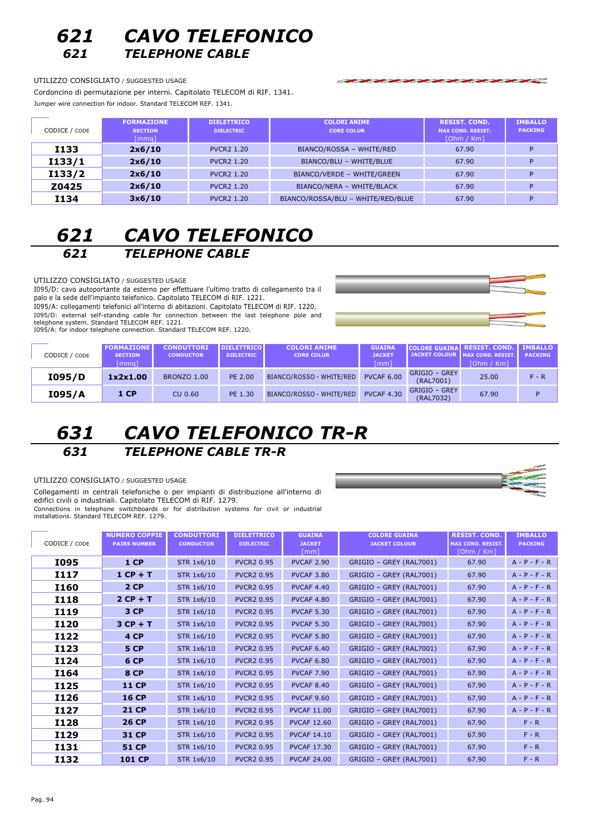### *621 CAVO TELEFONICO 621 TELEPHONE CABLE*

#### UTILIZZO CONSIGLIATO / SUGGESTED USAGE

Cordoncino di permutazione per interni. Capitolato TELECOM di RIF. 1341. Jumper wire connection for indoor. Standard TELECOM REF. 1341.

| CODICE / CODE | <b>FORMAZIONE</b><br><b>SECTION</b><br>[mmq] | <b>DIELETTRICO</b><br><b>DIELECTRIC</b> | <b>COLORI ANIME</b><br><b>CORE COLUR</b> | <b>RESIST. COND.</b><br><b>MAX COND. RESIST.</b><br>[Ohm / Km] | <b>IMBALLO</b><br><b>PACKING</b> |
|---------------|----------------------------------------------|-----------------------------------------|------------------------------------------|----------------------------------------------------------------|----------------------------------|
| <b>I133</b>   | 2x6/10                                       | <b>PVCR2 1.20</b>                       | BIANCO/ROSSA - WHITE/RED                 | 67.90                                                          |                                  |
| I133/1        | 2x6/10                                       | <b>PVCR2 1.20</b>                       | BIANCO/BLU - WHITE/BLUE                  | 67.90                                                          |                                  |
| I133/2        | 2x6/10                                       | <b>PVCR2 1.20</b>                       | BIANCO/VERDE - WHITE/GREEN               | 67.90                                                          |                                  |
| Z0425         | 2x6/10                                       | <b>PVCR2 1.20</b>                       | BIANCO/NERA - WHITE/BLACK                | 67.90                                                          | Đ                                |
| I134          | 3x6/10                                       | <b>PVCR2 1.20</b>                       | BIANCO/ROSSA/BLU - WHITE/RED/BLUE        | 67.90                                                          |                                  |

## *621 CAVO TELEFONICO 621 TELEPHONE CABLE*

UTILIZZO CONSIGLIATO / SUGGESTED USAGE

1095/D: cavo autoportante da esterno per effettuare l'ultimo tratto di collegamento tra il SOOR SOOR SOOR ALL PROVIDENCE OF ALCOHOL POSSIBLE COMMUNICATION OF A SOLDIER SPACE OF A SOLDIER SCHOOL CAPITOLETY.

1095/A: collegamenti telefonici all'interno di abitazioni. Capitolato TELECOM di RIF. 1220. I095/D: external self-standing cable for connection between the last telephone pole and telephone system. Standard TELECOM REF. 1221.

I095/A: for indoor telephone connection. Standard TELECOM REF. 1220.



| CODICE / CODE | <b>FORMAZIONE</b><br><b>SECTION</b><br>[mma] | <b>CONDUTTORI</b><br><b>CONDUCTOR</b> | <b>DIELETTRICO</b><br><b>DIELECTRIC</b> | <b>COLORI ANIME</b><br><b>CORE COLUR</b> | <b>GUAINA</b><br><b>JACKET</b><br>[mm] |                            | <b>COLORE GUAINA RESIST. COND.</b> MBALLO<br>JACKET COLOUR   MAX COND. RESIST.<br>[Ohm / Km] | <b>PACKING</b> |
|---------------|----------------------------------------------|---------------------------------------|-----------------------------------------|------------------------------------------|----------------------------------------|----------------------------|----------------------------------------------------------------------------------------------|----------------|
| I095/D        | 1x2x1.00                                     | <b>BRONZO 1.00</b>                    | PE 2.00                                 | BIANCO/ROSSO - WHITE/RED                 | <b>PVCAF 6.00</b>                      | GRIGIO – GREY<br>(RAL7001) | 25.00                                                                                        | $F - R$        |
| I095/A        | 1 CP                                         | CU 0.60                               | PE 1.30                                 | BIANCO/ROSSO - WHITE/RED                 | <b>PVCAF 4.30</b>                      | GRIGIO – GREY<br>(RAL7032) | 67.90                                                                                        | D              |

### *631 CAVO TELEFONICO TR-R 631 TELEPHONE CABLE TR-R*

UTILIZZO CONSIGLIATO / SUGGESTED USAGE

Collegamenti in centrali telefoniche o per impianti di distribuzione all'interno di edifici civili o industriali. Capitolato TELECOM di RIF. 1279. Connections in telephone switchboards or for distribution systems for civil or industrial installations. Standard TELECOM REF. 1279.

| CODICE / CODE | <b>NUMERO COPPIE</b><br><b>PAIRS NUMBER</b> | <b>CONDUTTORI</b><br><b>CONDUCTOR</b> | <b>DIELETTRICO</b><br><b>DIELECTRIC</b> | <b>GUAINA</b><br><b>JACKET</b><br>[mm] | <b>COLORE GUAINA</b><br><b>JACKET COLOUR</b> | <b>RESIST. COND.</b><br><b>MAX COND. RESIST.</b><br>[Ohm / Km] | <b>IMBALLO</b><br><b>PACKING</b> |
|---------------|---------------------------------------------|---------------------------------------|-----------------------------------------|----------------------------------------|----------------------------------------------|----------------------------------------------------------------|----------------------------------|
| I095          | 1 <sub>CP</sub>                             | STR 1x6/10                            | <b>PVCR2 0.95</b>                       | <b>PVCAF 2.90</b>                      | GRIGIO - GREY (RAL7001)                      | 67.90                                                          | $A - P - F - R$                  |
| I117          | $1 CP + T$                                  | STR 1x6/10                            | <b>PVCR2 0.95</b>                       | <b>PVCAF 3.80</b>                      | GRIGIO - GREY (RAL7001)                      | 67.90                                                          | $A - P - F - R$                  |
| I160          | 2 <sub>CP</sub>                             | STR 1x6/10                            | <b>PVCR2 0.95</b>                       | <b>PVCAF 4.40</b>                      | GRIGIO - GREY (RAL7001)                      | 67.90                                                          | $A - P - F - R$                  |
| <b>I118</b>   | $2 CP + T$                                  | STR 1x6/10                            | <b>PVCR2 0.95</b>                       | <b>PVCAF 4.80</b>                      | GRIGIO - GREY (RAL7001)                      | 67.90                                                          | $A - P - F - R$                  |
| I119          | 3 CP                                        | STR 1x6/10                            | <b>PVCR2 0.95</b>                       | <b>PVCAF 5.30</b>                      | GRIGIO - GREY (RAL7001)                      | 67.90                                                          | $A - P - F - R$                  |
| <b>I120</b>   | $3 CP + T$                                  | STR 1x6/10                            | <b>PVCR2 0.95</b>                       | <b>PVCAF 5.30</b>                      | GRIGIO - GREY (RAL7001)                      | 67.90                                                          | $A - P - F - R$                  |
| I122          | 4 CP                                        | STR 1x6/10                            | <b>PVCR2 0.95</b>                       | <b>PVCAF 5.80</b>                      | GRIGIO - GREY (RAL7001)                      | 67.90                                                          | $A - P - F - R$                  |
| <b>I123</b>   | <b>5 CP</b>                                 | STR 1x6/10                            | <b>PVCR2 0.95</b>                       | <b>PVCAF 6.40</b>                      | GRIGIO - GREY (RAL7001)                      | 67.90                                                          | $A - P - F - R$                  |
| I124          | 6 CP                                        | STR 1x6/10                            | <b>PVCR2 0.95</b>                       | <b>PVCAF 6.80</b>                      | GRIGIO - GREY (RAL7001)                      | 67.90                                                          | $A - P - F - R$                  |
| I164          | <b>8 CP</b>                                 | STR 1x6/10                            | <b>PVCR2 0.95</b>                       | <b>PVCAF 7.90</b>                      | GRIGIO - GREY (RAL7001)                      | 67.90                                                          | $A - P - F - R$                  |
| I125          | <b>11 CP</b>                                | STR 1x6/10                            | <b>PVCR2 0.95</b>                       | <b>PVCAF 8.40</b>                      | GRIGIO - GREY (RAL7001)                      | 67.90                                                          | $A - P - F - R$                  |
| <b>I126</b>   | <b>16 CP</b>                                | STR 1x6/10                            | <b>PVCR2 0.95</b>                       | <b>PVCAF 9.60</b>                      | GRIGIO - GREY (RAL7001)                      | 67.90                                                          | $A - P - F - R$                  |
| I127          | <b>21 CP</b>                                | STR 1x6/10                            | <b>PVCR2 0.95</b>                       | <b>PVCAF 11.00</b>                     | GRIGIO - GREY (RAL7001)                      | 67.90                                                          | $A - P - F - R$                  |
| <b>I128</b>   | <b>26 CP</b>                                | STR 1x6/10                            | <b>PVCR2 0.95</b>                       | <b>PVCAF 12.60</b>                     | GRIGIO - GREY (RAL7001)                      | 67.90                                                          | $F - R$                          |
| I129          | 31 CP                                       | STR 1x6/10                            | <b>PVCR2 0.95</b>                       | <b>PVCAF 14.10</b>                     | GRIGIO - GREY (RAL7001)                      | 67.90                                                          | $F - R$                          |
| I131          | <b>51 CP</b>                                | STR 1x6/10                            | <b>PVCR2 0.95</b>                       | <b>PVCAF 17.30</b>                     | GRIGIO - GREY (RAL7001)                      | 67.90                                                          | $F - R$                          |
| I132          | <b>101 CP</b>                               | STR 1x6/10                            | <b>PVCR2 0.95</b>                       | <b>PVCAF 24.00</b>                     | GRIGIO - GREY (RAL7001)                      | 67.90                                                          | $F - R$                          |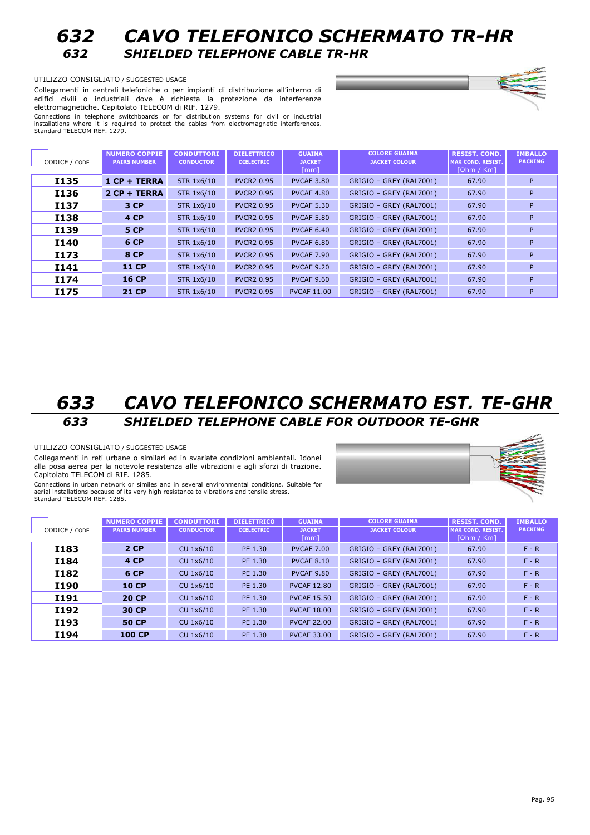

UTILIZZO CONSIGLIATO / SUGGESTED USAGE

Collegamenti in centrali telefoniche o per impianti di distribuzione all'interno di edifici civili o industriali dove è richiesta la protezione da interferenze elettromagnetiche. Capitolato TELECOM di RIF. 1279.

Connections in telephone switchboards or for distribution systems for civil or industrial installations where it is required to protect the cables from electromagnetic interferences. Standard TELECOM REF. 1279.

| CODICE / CODE | <b>NUMERO COPPIE</b><br><b>PAIRS NUMBER</b> | <b>CONDUTTORI</b><br><b>CONDUCTOR</b> | <b>DIELETTRICO</b><br><b>DIELECTRIC</b> | <b>GUAINA</b><br><b>JACKET</b><br>[mm] | <b>COLORE GUAINA</b><br><b>JACKET COLOUR</b> | <b>RESIST. COND.</b><br><b>MAX COND. RESIST.</b><br>[Ohm / Km] | <b>IMBALLO</b><br><b>PACKING</b> |
|---------------|---------------------------------------------|---------------------------------------|-----------------------------------------|----------------------------------------|----------------------------------------------|----------------------------------------------------------------|----------------------------------|
| <b>I135</b>   | $1 CP + TERRA$                              | STR 1x6/10                            | <b>PVCR2 0.95</b>                       | <b>PVCAF 3.80</b>                      | GRIGIO - GREY (RAL7001)                      | 67.90                                                          | P                                |
| I136          | $2 CP + TERRA$                              | STR 1x6/10                            | <b>PVCR2 0.95</b>                       | <b>PVCAF 4.80</b>                      | GRIGIO - GREY (RAL7001)                      | 67.90                                                          | P                                |
| I137          | 3 CP                                        | STR 1x6/10                            | <b>PVCR2 0.95</b>                       | <b>PVCAF 5.30</b>                      | GRIGIO - GREY (RAL7001)                      | 67.90                                                          | P                                |
| <b>I138</b>   | <b>4 CP</b>                                 | STR 1x6/10                            | <b>PVCR2 0.95</b>                       | <b>PVCAF 5.80</b>                      | GRIGIO - GREY (RAL7001)                      | 67.90                                                          | P                                |
| I139          | 5 CP                                        | STR 1x6/10                            | <b>PVCR2 0.95</b>                       | <b>PVCAF 6.40</b>                      | GRIGIO - GREY (RAL7001)                      | 67.90                                                          | P                                |
| <b>I140</b>   | 6 CP                                        | STR 1x6/10                            | <b>PVCR2 0.95</b>                       | <b>PVCAF 6.80</b>                      | GRIGIO - GREY (RAL7001)                      | 67.90                                                          | P                                |
| I173          | <b>8 CP</b>                                 | STR 1x6/10                            | <b>PVCR2 0.95</b>                       | <b>PVCAF 7.90</b>                      | GRIGIO - GREY (RAL7001)                      | 67.90                                                          | P                                |
| I141          | <b>11 CP</b>                                | STR 1x6/10                            | <b>PVCR2 0.95</b>                       | <b>PVCAF 9.20</b>                      | GRIGIO - GREY (RAL7001)                      | 67.90                                                          | P                                |
| I174          | <b>16 CP</b>                                | STR 1x6/10                            | <b>PVCR2 0.95</b>                       | <b>PVCAF 9.60</b>                      | GRIGIO - GREY (RAL7001)                      | 67.90                                                          | P                                |
| I175          | <b>21 CP</b>                                | STR 1x6/10                            | <b>PVCR2 0.95</b>                       | <b>PVCAF 11.00</b>                     | GRIGIO - GREY (RAL7001)                      | 67.90                                                          | P                                |

### *633 CAVO TELEFONICO SCHERMATO EST. TE-GHR 633 SHIELDED TELEPHONE CABLE FOR OUTDOOR TE-GHR*

#### UTILIZZO CONSIGLIATO / SUGGESTED USAGE

Collegamenti in reti urbane o similari ed in svariate condizioni ambientali. Idonei alla posa aerea per la notevole resistenza alle vibrazioni e agli sforzi di trazione. Capitolato TELECOM di RIF. 1285.

Connections in urban network or similes and in several environmental conditions. Suitable for aerial installations because of its very high resistance to vibrations and tensile stress. Standard TELECOM REF. 1285.



| CODICE / CODE | <b>NUMERO COPPIE</b><br><b>PAIRS NUMBER</b> | <b>CONDUTTORI</b><br><b>CONDUCTOR</b> | <b>DIELETTRICO</b><br><b>DIELECTRIC</b> | <b>GUAINA</b><br><b>JACKET</b><br>[mm] | <b>COLORE GUAINA</b><br><b>JACKET COLOUR</b> | <b>RESIST. COND.</b><br><b>MAX COND. RESIST.</b><br>[Ohm / Km] | <b>IMBALLO</b><br><b>PACKING</b> |
|---------------|---------------------------------------------|---------------------------------------|-----------------------------------------|----------------------------------------|----------------------------------------------|----------------------------------------------------------------|----------------------------------|
| I183          | 2 CP                                        | CU 1x6/10                             | PE 1.30                                 | <b>PVCAF 7.00</b>                      | GRIGIO - GREY (RAL7001)                      | 67.90                                                          | $F - R$                          |
| <b>I184</b>   | 4 CP                                        | CU 1x6/10                             | PE 1.30                                 | <b>PVCAF 8.10</b>                      | GRIGIO - GREY (RAL7001)                      | 67.90                                                          | $F - R$                          |
| I182          | 6 CP                                        | CU 1x6/10                             | PE 1.30                                 | <b>PVCAF 9.80</b>                      | GRIGIO - GREY (RAL7001)                      | 67.90                                                          | $F - R$                          |
| <b>I190</b>   | <b>10 CP</b>                                | CU 1x6/10                             | PE 1.30                                 | <b>PVCAF 12.80</b>                     | GRIGIO - GREY (RAL7001)                      | 67.90                                                          | $F - R$                          |
| <b>I191</b>   | <b>20 CP</b>                                | CU 1x6/10                             | PE 1.30                                 | <b>PVCAF 15.50</b>                     | GRIGIO - GREY (RAL7001)                      | 67.90                                                          | $F - R$                          |
| I192          | 30 CP                                       | CU 1x6/10                             | PE 1.30                                 | <b>PVCAF 18.00</b>                     | GRIGIO - GREY (RAL7001)                      | 67.90                                                          | $F - R$                          |
| I193          | <b>50 CP</b>                                | CU 1x6/10                             | PE 1.30                                 | <b>PVCAF 22.00</b>                     | GRIGIO - GREY (RAL7001)                      | 67.90                                                          | $F - R$                          |
| <b>I194</b>   | <b>100 CP</b>                               | CU 1x6/10                             | PE 1.30                                 | <b>PVCAF 33.00</b>                     | GRIGIO - GREY (RAL7001)                      | 67.90                                                          | $F - R$                          |